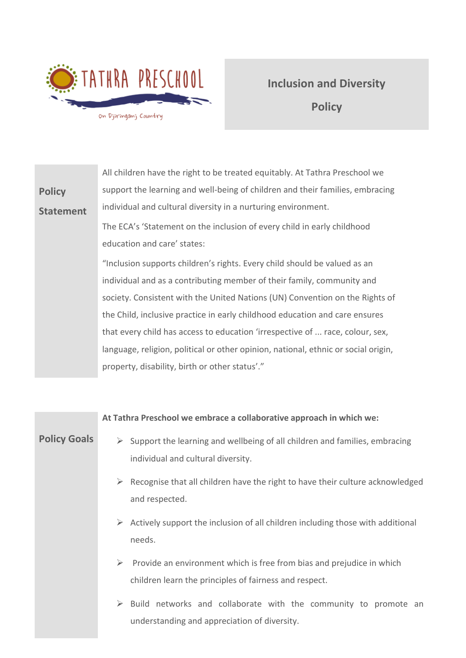

# **Inclusion and Diversity Policy**

|                  | All children have the right to be treated equitably. At Tathra Preschool we        |
|------------------|------------------------------------------------------------------------------------|
| <b>Policy</b>    | support the learning and well-being of children and their families, embracing      |
| <b>Statement</b> | individual and cultural diversity in a nurturing environment.                      |
|                  | The ECA's 'Statement on the inclusion of every child in early childhood            |
|                  | education and care' states:                                                        |
|                  | "Inclusion supports children's rights. Every child should be valued as an          |
|                  | individual and as a contributing member of their family, community and             |
|                  | society. Consistent with the United Nations (UN) Convention on the Rights of       |
|                  | the Child, inclusive practice in early childhood education and care ensures        |
|                  | that every child has access to education 'irrespective of  race, colour, sex,      |
|                  | language, religion, political or other opinion, national, ethnic or social origin, |
|                  | property, disability, birth or other status'."                                     |

|                     | At Tathra Preschool we embrace a collaborative approach in which we:                                                                 |
|---------------------|--------------------------------------------------------------------------------------------------------------------------------------|
| <b>Policy Goals</b> | Support the learning and wellbeing of all children and families, embracing<br>➤<br>individual and cultural diversity.                |
|                     | Recognise that all children have the right to have their culture acknowledged<br>➤<br>and respected.                                 |
|                     | Actively support the inclusion of all children including those with additional<br>needs.                                             |
|                     | ➤<br>Provide an environment which is free from bias and prejudice in which<br>children learn the principles of fairness and respect. |
|                     | $\triangleright$ Build networks and collaborate with the community to promote an<br>understanding and appreciation of diversity.     |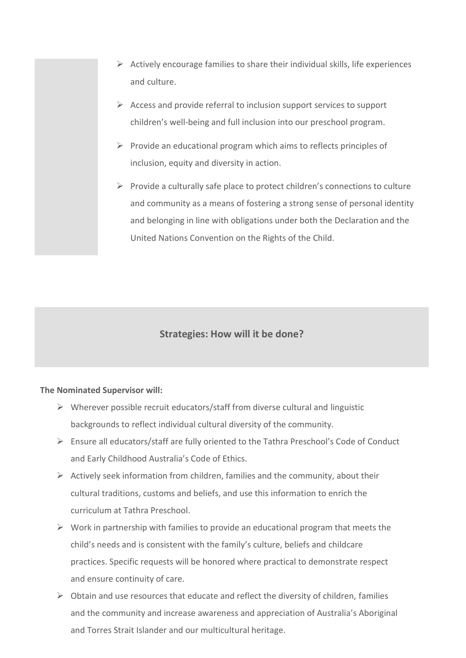- $\triangleright$  Actively encourage families to share their individual skills, life experiences and culture.
- $\triangleright$  Access and provide referral to inclusion support services to support children's well-being and full inclusion into our preschool program.
- $\triangleright$  Provide an educational program which aims to reflects principles of inclusion, equity and diversity in action.
- $\triangleright$  Provide a culturally safe place to protect children's connections to culture and community as a means of fostering a strong sense of personal identity and belonging in line with obligations under both the Declaration and the United Nations Convention on the Rights of the Child.

## **Strategies: How will it be done?**

#### **The Nominated Supervisor will:**

- $\triangleright$  Wherever possible recruit educators/staff from diverse cultural and linguistic backgrounds to reflect individual cultural diversity of the community.
- ➢ Ensure all educators/staff are fully oriented to the Tathra Preschool's Code of Conduct and Early Childhood Australia's Code of Ethics.
- $\triangleright$  Actively seek information from children, families and the community, about their cultural traditions, customs and beliefs, and use this information to enrich the curriculum at Tathra Preschool.
- $\triangleright$  Work in partnership with families to provide an educational program that meets the child's needs and is consistent with the family's culture, beliefs and childcare practices. Specific requests will be honored where practical to demonstrate respect and ensure continuity of care.
- $\triangleright$  Obtain and use resources that educate and reflect the diversity of children, families and the community and increase awareness and appreciation of Australia's Aboriginal and Torres Strait Islander and our multicultural heritage.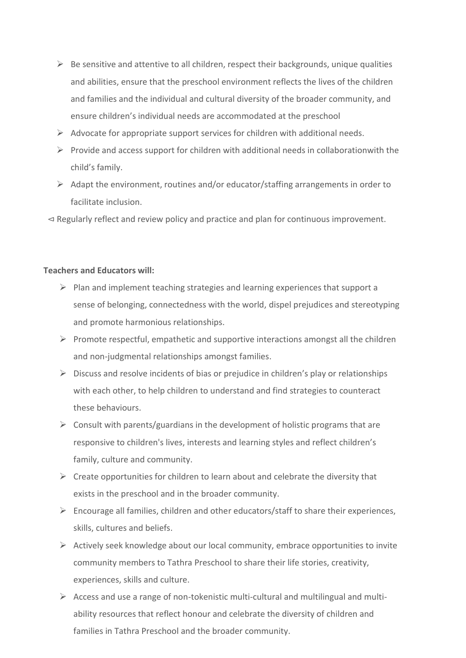- $\triangleright$  Be sensitive and attentive to all children, respect their backgrounds, unique qualities and abilities, ensure that the preschool environment reflects the lives of the children and families and the individual and cultural diversity of the broader community, and ensure children's individual needs are accommodated at the preschool
- $\triangleright$  Advocate for appropriate support services for children with additional needs.
- $\triangleright$  Provide and access support for children with additional needs in collaborationwith the child's family.
- $\triangleright$  Adapt the environment, routines and/or educator/staffing arrangements in order to facilitate inclusion.
- ⊲ Regularly reflect and review policy and practice and plan for continuous improvement.

### **Teachers and Educators will:**

- $\triangleright$  Plan and implement teaching strategies and learning experiences that support a sense of belonging, connectedness with the world, dispel prejudices and stereotyping and promote harmonious relationships.
- $\triangleright$  Promote respectful, empathetic and supportive interactions amongst all the children and non-judgmental relationships amongst families.
- $\triangleright$  Discuss and resolve incidents of bias or prejudice in children's play or relationships with each other, to help children to understand and find strategies to counteract these behaviours.
- $\triangleright$  Consult with parents/guardians in the development of holistic programs that are responsive to children's lives, interests and learning styles and reflect children's family, culture and community.
- $\triangleright$  Create opportunities for children to learn about and celebrate the diversity that exists in the preschool and in the broader community.
- $\triangleright$  Encourage all families, children and other educators/staff to share their experiences, skills, cultures and beliefs.
- $\triangleright$  Actively seek knowledge about our local community, embrace opportunities to invite community members to Tathra Preschool to share their life stories, creativity, experiences, skills and culture.
- $\triangleright$  Access and use a range of non-tokenistic multi-cultural and multilingual and multiability resources that reflect honour and celebrate the diversity of children and families in Tathra Preschool and the broader community.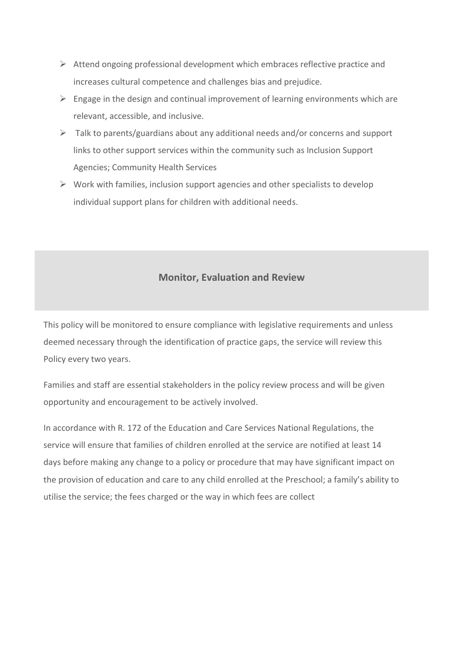- $\triangleright$  Attend ongoing professional development which embraces reflective practice and increases cultural competence and challenges bias and prejudice.
- $\triangleright$  Engage in the design and continual improvement of learning environments which are relevant, accessible, and inclusive.
- $\triangleright$  Talk to parents/guardians about any additional needs and/or concerns and support links to other support services within the community such as Inclusion Support Agencies; Community Health Services
- $\triangleright$  Work with families, inclusion support agencies and other specialists to develop individual support plans for children with additional needs.

## **Monitor, Evaluation and Review**

This policy will be monitored to ensure compliance with legislative requirements and unless deemed necessary through the identification of practice gaps, the service will review this Policy every two years.

Families and staff are essential stakeholders in the policy review process and will be given opportunity and encouragement to be actively involved.

In accordance with R. 172 of the Education and Care Services National Regulations, the service will ensure that families of children enrolled at the service are notified at least 14 days before making any change to a policy or procedure that may have significant impact on the provision of education and care to any child enrolled at the Preschool; a family's ability to utilise the service; the fees charged or the way in which fees are collect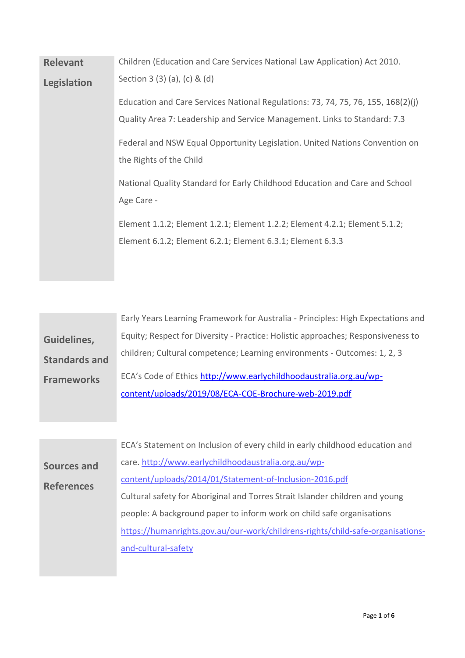| <b>Relevant</b> | Children (Education and Care Services National Law Application) Act 2010.        |
|-----------------|----------------------------------------------------------------------------------|
| Legislation     | Section 3 (3) (a), (c) & (d)                                                     |
|                 | Education and Care Services National Regulations: 73, 74, 75, 76, 155, 168(2)(j) |
|                 | Quality Area 7: Leadership and Service Management. Links to Standard: 7.3        |
|                 | Federal and NSW Equal Opportunity Legislation. United Nations Convention on      |
|                 | the Rights of the Child                                                          |
|                 | National Quality Standard for Early Childhood Education and Care and School      |
|                 | Age Care -                                                                       |
|                 | Element 1.1.2; Element 1.2.1; Element 1.2.2; Element 4.2.1; Element 5.1.2;       |
|                 | Element 6.1.2; Element 6.2.1; Element 6.3.1; Element 6.3.3                       |
|                 |                                                                                  |

|                      | Early Years Learning Framework for Australia - Principles: High Expectations and |
|----------------------|----------------------------------------------------------------------------------|
| Guidelines,          | Equity; Respect for Diversity - Practice: Holistic approaches; Responsiveness to |
| <b>Standards and</b> | children; Cultural competence; Learning environments - Outcomes: 1, 2, 3         |
| <b>Frameworks</b>    | ECA's Code of Ethics http://www.earlychildhoodaustralia.org.au/wp-               |
|                      | content/uploads/2019/08/ECA-COE-Brochure-web-2019.pdf                            |

|                    | ECA's Statement on Inclusion of every child in early childhood education and   |
|--------------------|--------------------------------------------------------------------------------|
| <b>Sources and</b> | care. http://www.earlychildhoodaustralia.org.au/wp-                            |
| <b>References</b>  | content/uploads/2014/01/Statement-of-Inclusion-2016.pdf                        |
|                    | Cultural safety for Aboriginal and Torres Strait Islander children and young   |
|                    | people: A background paper to inform work on child safe organisations          |
|                    | https://humanrights.gov.au/our-work/childrens-rights/child-safe-organisations- |
|                    | and-cultural-safety                                                            |
|                    |                                                                                |